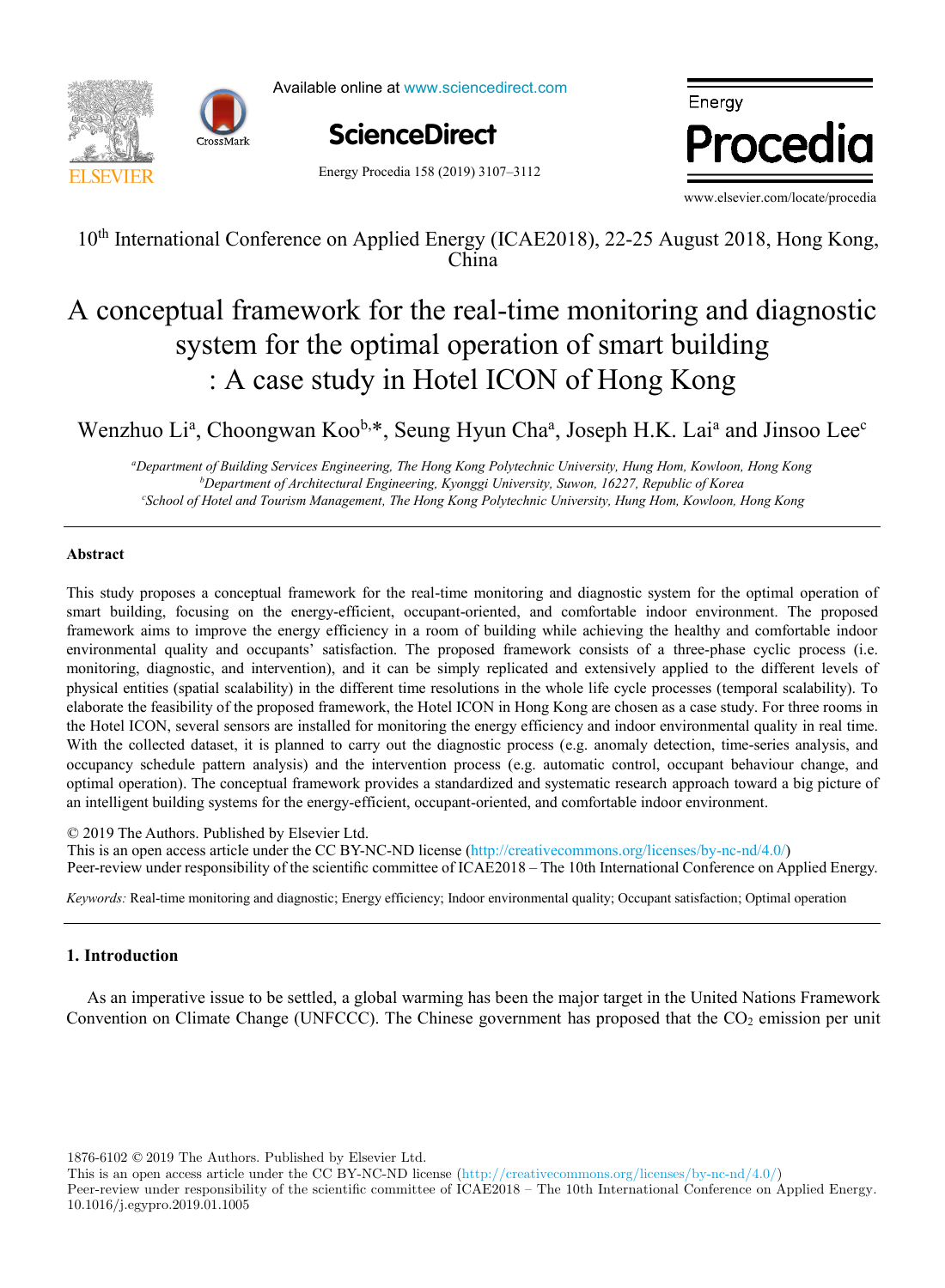

Available online at www.sciencedirect.com

Energy Procedia 158 (2019) 3107–3112

**ScienceDirect** ScienceDirect

Energy Procedia

www.elsevier.com/locate/procedia

10<sup>th</sup> International Conference on Applied Energy (ICAE2018), 22-25 August 2018, Hong Kong, China

#### al framework for the real-time monitoring and d  $\therefore$  A case study in Hotel ICON of Hong Kong  $t_{\text{t}}$  temperature function for a long-term distribution for a long-term distribution for  $\frac{1}{2}$ A conceptual framework for the real-time monitoring and diagnostic system for the optimal operation of smart building : A case study in Hotel ICON of Hong Kong A conceptual framework for the real-time monitoring and diagnostic system for the optimal operation of smart building : A case study in Hotel ICON of Hong Kong

 $\frac{1}{2}$ , being riyan Cha, Joseph ri.ix. Lacarrière shistoc  $W$ ,  $\mathbf{1}$ ,  $\mathbf{1}$  is  $\mathbf{2}$  in  $\mathbf{1}$  and  $\mathbf{2}$  and  $\mathbf{3}$  and  $\mathbf{4}$  and  $\mathbf{5}$  and  $\mathbf{5}$  and  $\mathbf{6}$  and  $\mathbf{7}$  and  $\mathbf{8}$  and  $\mathbf{7}$  and  $\mathbf{8}$  and  $\mathbf{7}$  and  $\mathbf{8}$  and  $\mathbf{8}$  and *Department of Building Services Engineering, The Hong Kong Polytechnic University, Hung Hom, Kowloon, Hong Kong* Wenzhuo Li<sup>a</sup>, Choongwan Koo<sup>b,\*</sup>, Seung Hyun Cha<sup>a</sup>, Joseph H.K. Lai<sup>a</sup> and Jinsoo Lee<sup>c</sup>

and the University, Hung Hom, Kowloon, Hong Kong<br>Department of Building Services Engineering, The Hong Kong Polytechnic University, Hung Hom, Kowloon, Hong Kong <sup>b</sup>Department of Architectural Engineering, Kyonggi University, Suwon, 16227, Republic of Korea School of Hotel and Tourism Management, The Hong Kong Polytechnic University, Hung Hom, Kowloon, Hong Kong

# **Abstract**

This study proposes a conceptual framework for the real-time monitoring and diagnostic system for the optimal operation of framework aims to improve the energy efficiency in a room of building while achieving the healthy and comfortable indoor environmental quality and occupants' satisfaction. The proposed framework consists of a three-phase cyclic process (i.e. monitoring, diagnostic, and intervention), and it can be simply replicated and extensively applied to the different levels of physical entities (spatial scalability) in the different time resolutions in the whole life cycle processes (temporal scalability). To elaborate the feasibility of the proposed framework, the Hotel ICON in Hong Kong are chosen as a case study. For three rooms in the Hotel ICON, several sensors are installed for monitoring the energy efficiency and indoor environmental quality in real time. With the collected dataset, it is planned to carry out the diagnostic process (e.g. anomaly detection, time-series analysis, and occupancy schedule pattern analysis) and the intervention process (e.g. automatic control, occupant behaviour change, and occupancy schedule pattern analysis) and the intervention process (e.g. automatic control, occupant behaviour change, and<br>optimal operation). The conceptual framework provides a standardized and systematic research approac an intelligent building systems for the energy-efficient, occupant-oriented, and comfortable indoor environment. smart building, focusing on the energy-efficient, occupant-oriented, and comfortable indoor environment. The proposed This study proposes a conceptual framework for the real-time monitoring and diagnostic system for the optimal operation of smart building, focusing on the energy-efficient, occupant-oriented, and comfortable indoor environ environmental quality and occupants' satisfaction. The proposed framework consists of a three-phase cyclic process (i.e. monitoring, diagnostic, and intervention), and it can be simply replicated and extensively applied to

(the error in annual demand was lower than 20% for all weather scenarios considered). However, after introducing renovation script increased up to 59.5% (depending on the weather and renovation scenarios compiled). The weather and renovation scenarios compiled with scenarios compiled in the weather and renovation scenarios combination combinati  $\degree$  2019 The Authors. Fuorished by Eisevier Eta.<br>This is an open access article under the CC BY-NC-ND license (http://creativecommons.org/licenses/by-nc-nd/4.0/) Peer-review under responsibility of the scientific committee of ICAE2018 – The 10th International Conference on Applied Energy. © 2019 The Authors. Published by Elsevier Ltd. Energy (ICA)

Keywords: Real-time monitoring and diagnostic; Energy efficiency; Indoor environmental quality; Occupant satisfaction; Optimal operation *Keywords:* Real-time monitoring and diagnostic; Energy efficiency; Indoor environmental quality; Occupant satisfaction; Optimal operation

# **1. Introduction**

As an imperative issue to be settled, a global warming has been the major target in the United Nations Framework Convention on Climate Change (UNFCCC). The Chinese government has proposed that the CO<sub>2</sub> emission per unit

1876-6102 © 2019 The Authors. Published by Elsevier Ltd.

This is an open access article under the CC BY-NC-ND license (http://creativecommons.org/licenses/by-nc-nd/4.0/)

Peer-review under responsibility of the scientific committee of ICAE2018 – The 10th International Conference on Applied Energy. 10.1016/j.egypro.2019.01.1005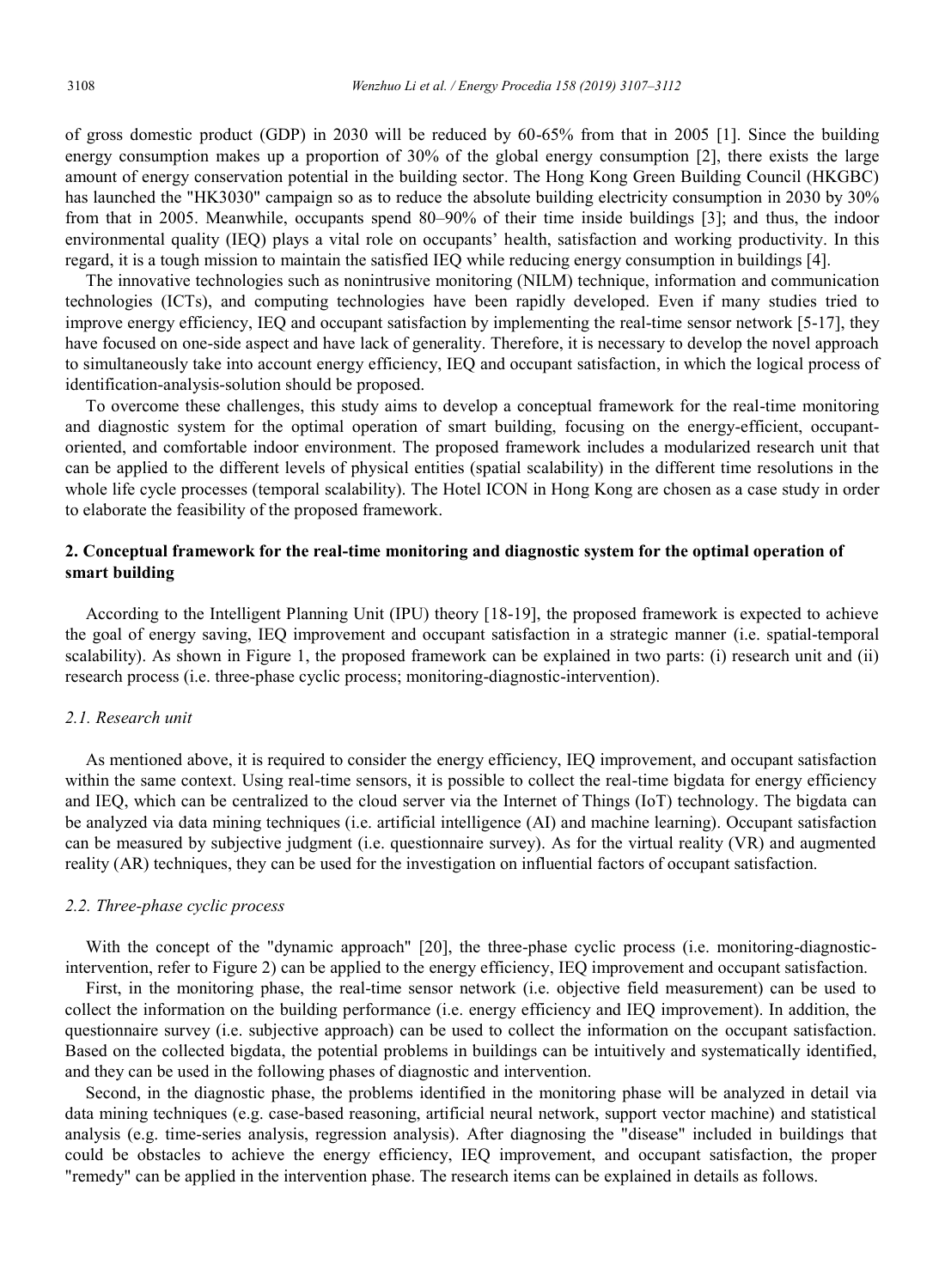of gross domestic product (GDP) in 2030 will be reduced by 60-65% from that in 2005 [1]. Since the building energy consumption makes up a proportion of 30% of the global energy consumption [2], there exists the large amount of energy conservation potential in the building sector. The Hong Kong Green Building Council (HKGBC) has launched the "HK3030" campaign so as to reduce the absolute building electricity consumption in 2030 by 30% from that in 2005. Meanwhile, occupants spend 80–90% of their time inside buildings [3]; and thus, the indoor environmental quality (IEQ) plays a vital role on occupants' health, satisfaction and working productivity. In this regard, it is a tough mission to maintain the satisfied IEQ while reducing energy consumption in buildings [4].

The innovative technologies such as nonintrusive monitoring (NILM) technique, information and communication technologies (ICTs), and computing technologies have been rapidly developed. Even if many studies tried to improve energy efficiency, IEQ and occupant satisfaction by implementing the real-time sensor network [5-17], they have focused on one-side aspect and have lack of generality. Therefore, it is necessary to develop the novel approach to simultaneously take into account energy efficiency, IEQ and occupant satisfaction, in which the logical process of identification-analysis-solution should be proposed.

To overcome these challenges, this study aims to develop a conceptual framework for the real-time monitoring and diagnostic system for the optimal operation of smart building, focusing on the energy-efficient, occupantoriented, and comfortable indoor environment. The proposed framework includes a modularized research unit that can be applied to the different levels of physical entities (spatial scalability) in the different time resolutions in the whole life cycle processes (temporal scalability). The Hotel ICON in Hong Kong are chosen as a case study in order to elaborate the feasibility of the proposed framework.

# **2. Conceptual framework for the real-time monitoring and diagnostic system for the optimal operation of smart building**

According to the Intelligent Planning Unit (IPU) theory [18-19], the proposed framework is expected to achieve the goal of energy saving, IEQ improvement and occupant satisfaction in a strategic manner (i.e. spatial-temporal scalability). As shown in Figure 1, the proposed framework can be explained in two parts: (i) research unit and (ii) research process (i.e. three-phase cyclic process; monitoring-diagnostic-intervention).

## *2.1. Research unit*

As mentioned above, it is required to consider the energy efficiency, IEQ improvement, and occupant satisfaction within the same context. Using real-time sensors, it is possible to collect the real-time bigdata for energy efficiency and IEQ, which can be centralized to the cloud server via the Internet of Things (IoT) technology. The bigdata can be analyzed via data mining techniques (i.e. artificial intelligence (AI) and machine learning). Occupant satisfaction can be measured by subjective judgment (i.e. questionnaire survey). As for the virtual reality (VR) and augmented reality (AR) techniques, they can be used for the investigation on influential factors of occupant satisfaction.

### *2.2. Three-phase cyclic process*

With the concept of the "dynamic approach" [20], the three-phase cyclic process (i.e. monitoring-diagnosticintervention, refer to Figure 2) can be applied to the energy efficiency, IEQ improvement and occupant satisfaction.

First, in the monitoring phase, the real-time sensor network (i.e. objective field measurement) can be used to collect the information on the building performance (i.e. energy efficiency and IEQ improvement). In addition, the questionnaire survey (i.e. subjective approach) can be used to collect the information on the occupant satisfaction. Based on the collected bigdata, the potential problems in buildings can be intuitively and systematically identified, and they can be used in the following phases of diagnostic and intervention.

Second, in the diagnostic phase, the problems identified in the monitoring phase will be analyzed in detail via data mining techniques (e.g. case-based reasoning, artificial neural network, support vector machine) and statistical analysis (e.g. time-series analysis, regression analysis). After diagnosing the "disease" included in buildings that could be obstacles to achieve the energy efficiency, IEQ improvement, and occupant satisfaction, the proper "remedy" can be applied in the intervention phase. The research items can be explained in details as follows.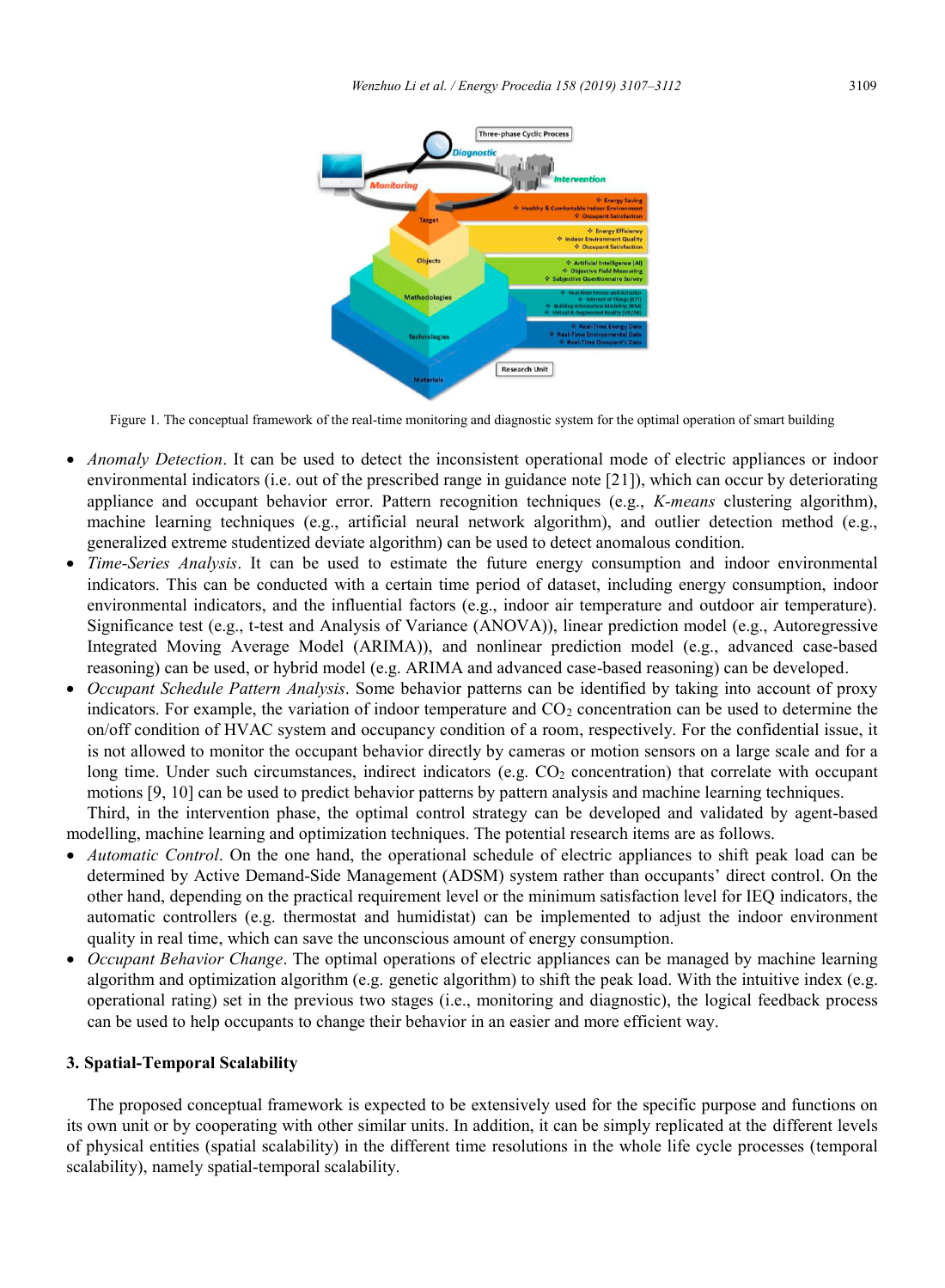

Figure 1. The conceptual framework of the real-time monitoring and diagnostic system for the optimal operation of smart building

- *Anomaly Detection*. It can be used to detect the inconsistent operational mode of electric appliances or indoor environmental indicators (i.e. out of the prescribed range in guidance note [21]), which can occur by deteriorating appliance and occupant behavior error. Pattern recognition techniques (e.g., *K-means* clustering algorithm), machine learning techniques (e.g., artificial neural network algorithm), and outlier detection method (e.g., generalized extreme studentized deviate algorithm) can be used to detect anomalous condition.
- *Time-Series Analysis*. It can be used to estimate the future energy consumption and indoor environmental indicators. This can be conducted with a certain time period of dataset, including energy consumption, indoor environmental indicators, and the influential factors (e.g., indoor air temperature and outdoor air temperature). Significance test (e.g., t-test and Analysis of Variance (ANOVA)), linear prediction model (e.g., Autoregressive Integrated Moving Average Model (ARIMA)), and nonlinear prediction model (e.g., advanced case-based reasoning) can be used, or hybrid model (e.g. ARIMA and advanced case-based reasoning) can be developed.
- *Occupant Schedule Pattern Analysis*. Some behavior patterns can be identified by taking into account of proxy indicators. For example, the variation of indoor temperature and  $CO<sub>2</sub>$  concentration can be used to determine the on/off condition of HVAC system and occupancy condition of a room, respectively. For the confidential issue, it is not allowed to monitor the occupant behavior directly by cameras or motion sensors on a large scale and for a long time. Under such circumstances, indirect indicators (e.g.  $CO<sub>2</sub>$  concentration) that correlate with occupant motions [9, 10] can be used to predict behavior patterns by pattern analysis and machine learning techniques. Third, in the intervention phase, the optimal control strategy can be developed and validated by agent-based

modelling, machine learning and optimization techniques. The potential research items are as follows.

- *Automatic Control*. On the one hand, the operational schedule of electric appliances to shift peak load can be determined by Active Demand-Side Management (ADSM) system rather than occupants' direct control. On the other hand, depending on the practical requirement level or the minimum satisfaction level for IEQ indicators, the automatic controllers (e.g. thermostat and humidistat) can be implemented to adjust the indoor environment quality in real time, which can save the unconscious amount of energy consumption.
- *Occupant Behavior Change*. The optimal operations of electric appliances can be managed by machine learning algorithm and optimization algorithm (e.g. genetic algorithm) to shift the peak load. With the intuitive index (e.g. operational rating) set in the previous two stages (i.e., monitoring and diagnostic), the logical feedback process can be used to help occupants to change their behavior in an easier and more efficient way.

## **3. Spatial-Temporal Scalability**

The proposed conceptual framework is expected to be extensively used for the specific purpose and functions on its own unit or by cooperating with other similar units. In addition, it can be simply replicated at the different levels of physical entities (spatial scalability) in the different time resolutions in the whole life cycle processes (temporal scalability), namely spatial-temporal scalability.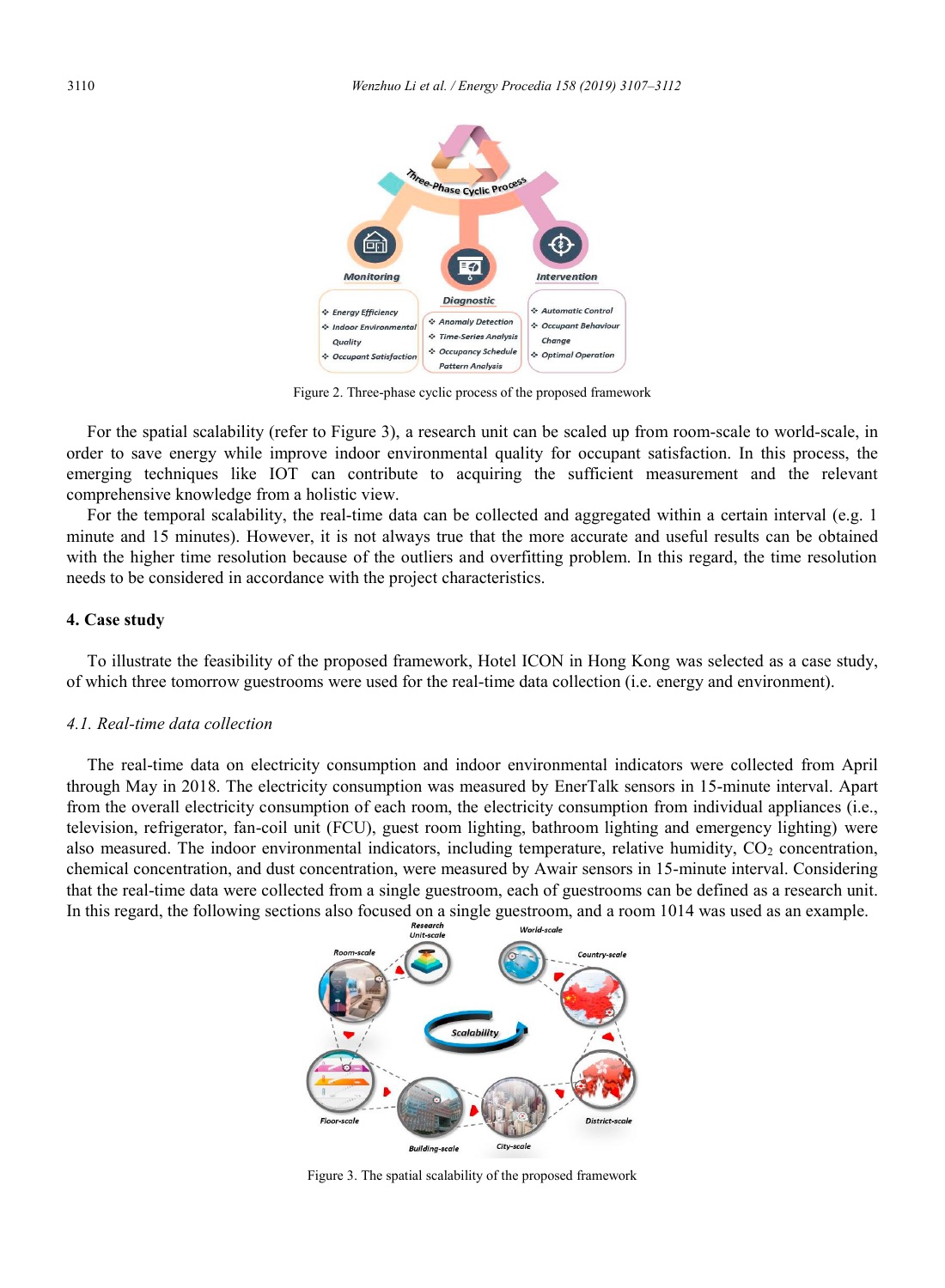

Figure 2. Three-phase cyclic process of the proposed framework

For the spatial scalability (refer to Figure 3), a research unit can be scaled up from room-scale to world-scale, in order to save energy while improve indoor environmental quality for occupant satisfaction. In this process, the emerging techniques like IOT can contribute to acquiring the sufficient measurement and the relevant comprehensive knowledge from a holistic view.

For the temporal scalability, the real-time data can be collected and aggregated within a certain interval (e.g. 1 minute and 15 minutes). However, it is not always true that the more accurate and useful results can be obtained with the higher time resolution because of the outliers and overfitting problem. In this regard, the time resolution needs to be considered in accordance with the project characteristics.

# **4. Case study**

To illustrate the feasibility of the proposed framework, Hotel ICON in Hong Kong was selected as a case study, of which three tomorrow guestrooms were used for the real-time data collection (i.e. energy and environment).

# *4.1. Real-time data collection*

The real-time data on electricity consumption and indoor environmental indicators were collected from April through May in 2018. The electricity consumption was measured by EnerTalk sensors in 15-minute interval. Apart from the overall electricity consumption of each room, the electricity consumption from individual appliances (i.e., television, refrigerator, fan-coil unit (FCU), guest room lighting, bathroom lighting and emergency lighting) were also measured. The indoor environmental indicators, including temperature, relative humidity, CO<sub>2</sub> concentration, chemical concentration, and dust concentration, were measured by Awair sensors in 15-minute interval. Considering that the real-time data were collected from a single guestroom, each of guestrooms can be defined as a research unit. In this regard, the following sections also focused on a single guestroom, and a room 1014 was used as an example.<br>  $\frac{N_{\text{out}}}{N_{\text{out}} + N_{\text{out}}}$ 



Figure 3. The spatial scalability of the proposed framework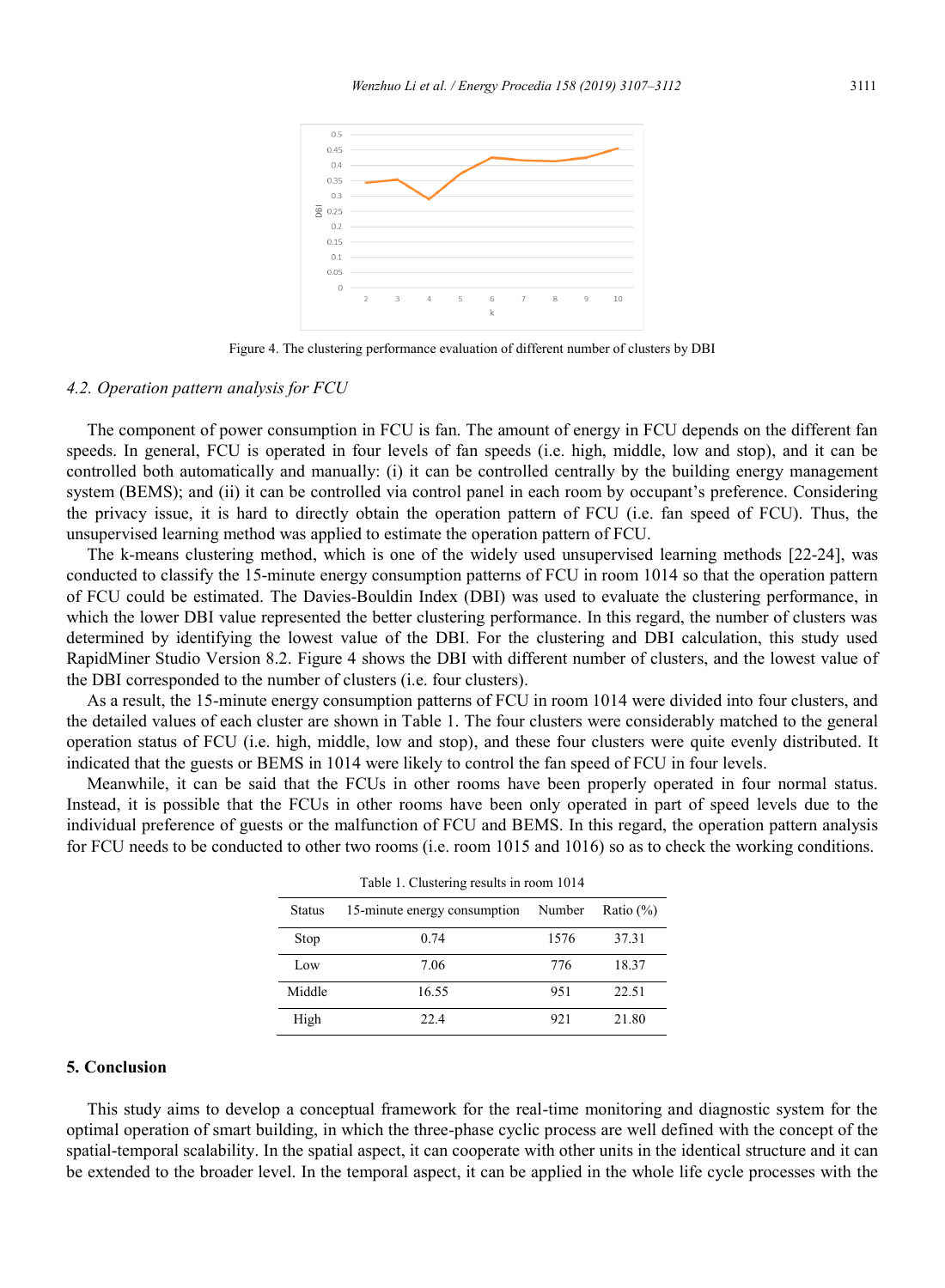

Figure 4. The clustering performance evaluation of different number of clusters by DBI

## *4.2. Operation pattern analysis for FCU*

The component of power consumption in FCU is fan. The amount of energy in FCU depends on the different fan speeds. In general, FCU is operated in four levels of fan speeds (i.e. high, middle, low and stop), and it can be controlled both automatically and manually: (i) it can be controlled centrally by the building energy management system (BEMS); and (ii) it can be controlled via control panel in each room by occupant's preference. Considering the privacy issue, it is hard to directly obtain the operation pattern of FCU (i.e. fan speed of FCU). Thus, the unsupervised learning method was applied to estimate the operation pattern of FCU.

The k-means clustering method, which is one of the widely used unsupervised learning methods [22-24], was conducted to classify the 15-minute energy consumption patterns of FCU in room 1014 so that the operation pattern of FCU could be estimated. The Davies-Bouldin Index (DBI) was used to evaluate the clustering performance, in which the lower DBI value represented the better clustering performance. In this regard, the number of clusters was determined by identifying the lowest value of the DBI. For the clustering and DBI calculation, this study used RapidMiner Studio Version 8.2. Figure 4 shows the DBI with different number of clusters, and the lowest value of the DBI corresponded to the number of clusters (i.e. four clusters).

As a result, the 15-minute energy consumption patterns of FCU in room 1014 were divided into four clusters, and the detailed values of each cluster are shown in Table 1. The four clusters were considerably matched to the general operation status of FCU (i.e. high, middle, low and stop), and these four clusters were quite evenly distributed. It indicated that the guests or BEMS in 1014 were likely to control the fan speed of FCU in four levels.

Meanwhile, it can be said that the FCUs in other rooms have been properly operated in four normal status. Instead, it is possible that the FCUs in other rooms have been only operated in part of speed levels due to the individual preference of guests or the malfunction of FCU and BEMS. In this regard, the operation pattern analysis for FCU needs to be conducted to other two rooms (i.e. room 1015 and 1016) so as to check the working conditions.

| Status | 15-minute energy consumption | Number | Ratio $(\%)$ |
|--------|------------------------------|--------|--------------|
| Stop   | 0.74                         | 1576   | 37.31        |
| Low    | 7.06                         | 776    | 18.37        |
| Middle | 16.55                        | 951    | 22.51        |
| High   | 22.4                         | 921    | 21.80        |

## **5. Conclusion**

This study aims to develop a conceptual framework for the real-time monitoring and diagnostic system for the optimal operation of smart building, in which the three-phase cyclic process are well defined with the concept of the spatial-temporal scalability. In the spatial aspect, it can cooperate with other units in the identical structure and it can be extended to the broader level. In the temporal aspect, it can be applied in the whole life cycle processes with the